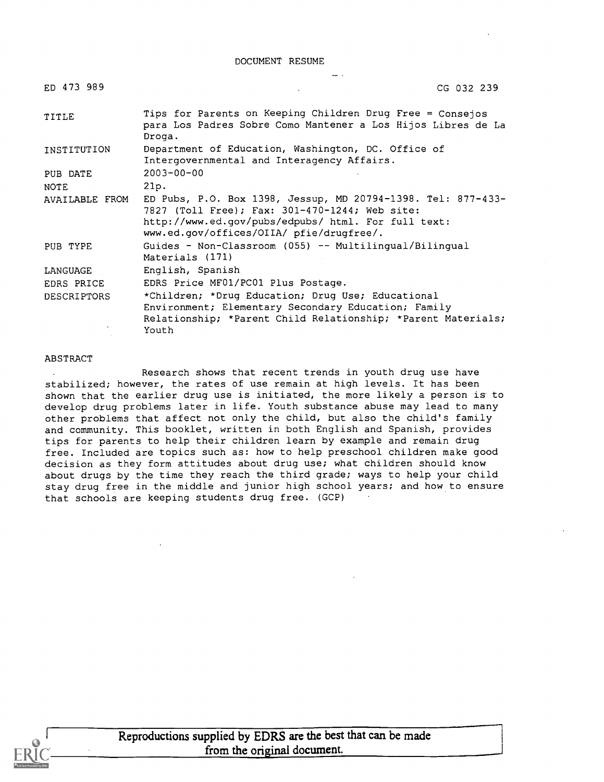DOCUMENT RESUME

| ED 473 989         | CG 032 239                                                                                                                                                                                                        |
|--------------------|-------------------------------------------------------------------------------------------------------------------------------------------------------------------------------------------------------------------|
| TITLE              | Tips for Parents on Keeping Children Drug Free = Consejos<br>para Los Padres Sobre Como Mantener a Los Hijos Libres de La<br>Droga.                                                                               |
| INSTITUTION        | Department of Education, Washington, DC. Office of<br>Intergovernmental and Interagency Affairs.                                                                                                                  |
| PUB DATE           | $2003 - 00 - 00$                                                                                                                                                                                                  |
| NOTE               | 21p.                                                                                                                                                                                                              |
| AVAILABLE FROM     | ED Pubs, P.O. Box 1398, Jessup, MD 20794-1398. Tel: 877-433-<br>7827 (Toll Free); Fax: 301-470-1244; Web site:<br>http://www.ed.gov/pubs/edpubs/ html. For full text:<br>www.ed.gov/offices/OIIA/ pfie/drugfree/. |
| PUB TYPE           | Guides - $Non-Classroom$ (055) -- Multilingual/Bilingual<br>Materials (171)                                                                                                                                       |
| LANGUAGE           | English, Spanish                                                                                                                                                                                                  |
| EDRS PRICE         | EDRS Price MF01/PC01 Plus Postage.                                                                                                                                                                                |
| <b>DESCRIPTORS</b> | *Children; *Drug Education; Drug Use; Educational<br>Environment; Elementary Secondary Education; Family<br>Relationship; *Parent Child Relationship; *Parent Materials;<br>Youth                                 |

#### ABSTRACT

Research shows that recent trends in youth drug use have stabilized; however, the rates of use remain at high levels. It has been shown that the earlier drug use is initiated, the more likely a person is to develop drug problems later in life. Youth substance abuse may lead to many other problems that affect not only the child, but also the child's family and community. This booklet, written in both English and Spanish, provides tips for parents to help their children learn by example and remain drug free. Included are topics such as: how to help preschool children make good decision as they form attitudes about drug use; what children should know about drugs by the time they reach the third grade; ways to help your child stay drug free in the middle and junior high school years; and how to ensure that schools are keeping students drug free. (GCP)

> Reproductions supplied by EDRS are the best that can be made from the original document.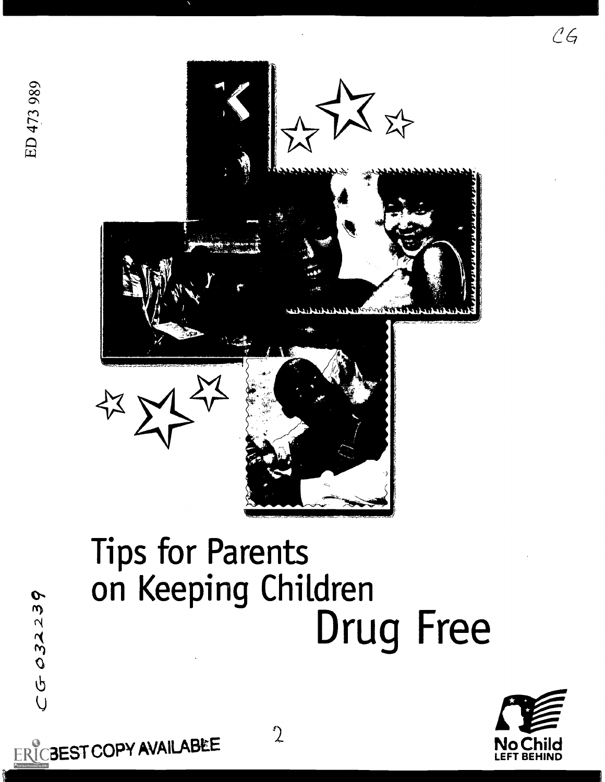

ERICBEST COPY AVAILABLE 2

# Tips for Parents on Keeping Children Drug Free

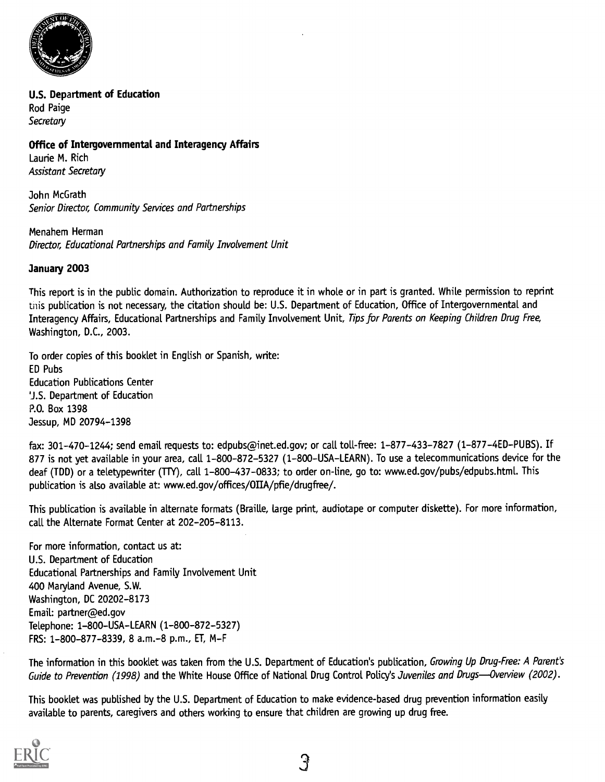

U.S. Department of Education Rod Paige **Secretary** 

#### Office of Intergovernmental and Interagency Affairs

Laurie M. Rich Assistant Secretary

John McGrath Senior Director, Community Services and Partnerships

Menahem Herman Director, Educational Partnerships and Family Involvement Unit

#### January 2003

This report is in the public domain. Authorization to reproduce it in whole or in part is granted. While permission to reprint this publication is not necessary, the citation should be: U.S. Department of Education, Office of Intergovernmental and Interagency Affairs, Educational Partnerships and Family Involvement Unit, Tips for Parents on Keeping Children Drug Free, Washington, D.C., 2003.

To order copies of this booklet in English or Spanish, write: ED Pubs Education Publications Center 'J.S. Department of Education P.O. Box 1398 Jessup, MD 20794-1398

fax: 301-470-1244; send email requests to: edpubs@inet.ed.gov; or call toll-free: 1-877-433-7827 (1-877-4ED-PUBS). If 877 is not yet available in your area, call 1-800-872-5327 (1-800-USA-LEARN). To use a telecommunications device for the deaf (TDD) or a teletypewriter (TTY), call 1-800-437-0833; to order on-line, go to: www.ed.gov/pubs/edpubs.html. This publication is also available at: www.ed.gov/offices/OIIA/pfie/drugfree/.

This publication is available in alternate formats (Braille, large print, audiotape or computer diskette). For more information, call the Alternate Format Center at 202-205-8113.

For more information, contact us at: U.S. Department of Education Educational Partnerships and Family Involvement Unit 400 Maryland Avenue, S.W. Washington, DC 20202-8173 Email: partner@ed.gov Telephone: 1-800-USA-LEARN (1-800-872-5327) FRS: 1-800-877-8339,8 a.m.-8 p.m., ET, M-F

The information in this booklet was taken from the U.S. Department of Education's publication, Growing Up Drug-Free: A Parent's Guide to Prevention (1998) and the White House Office of National Drug Control Policy's Juveniles and Drugs-Overview (2002).

This booklet was published by the U.S. Department of Education to make evidence-based drug prevention information easily available to parents, caregivers and others working to ensure that children are growing up drug free.

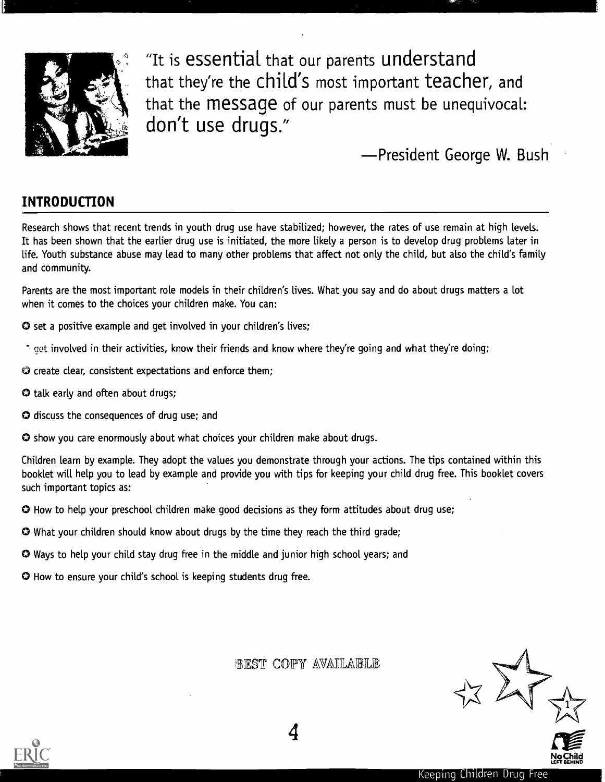

"It is essential that our parents understand that they're the Child's most important teacher, and that the Message of our parents must be unequivocal: don't use drugs."

President George W. Bush

## INTRODUCTION

Research shows that recent trends in youth drug use have stabilized; however, the rates of use remain at high levels. It has been shown that the earlier drug use is initiated, the more likely a person is to develop drug problems later in life. Youth substance abuse may lead to many other problems that affect not only the child, but also the child's family and community.

Parents are the most important role models in their children's lives. What you say and do about drugs matters a lot when it comes to the choices your children make. You can:

- O set a positive example and get involved in your children's lives;
- et involved in their activities, know their friends and know where they're going and what they're doing;
- O create clear, consistent expectations and enforce them;
- O talk early and often about drugs;
- O discuss the consequences of drug use; and
- O show you care enormously about what choices your children make about drugs.

Children learn by example. They adopt the values you demonstrate through your actions. The tips contained within this booklet will help you to lead by example and provide you with tips for keeping your child drug free. This booklet covers such important topics as:

O How to help your preschool children make good decisions as they form attitudes about drug use;

- O What your children should know about drugs by the time they reach the third grade;
- O Ways to help your child stay drug free in the middle and junior high school years; and

O How to ensure your child's school is keeping students drug free.

BEST COPY AVAILABLE

 $27$ 

No Child LEFT BEHIND



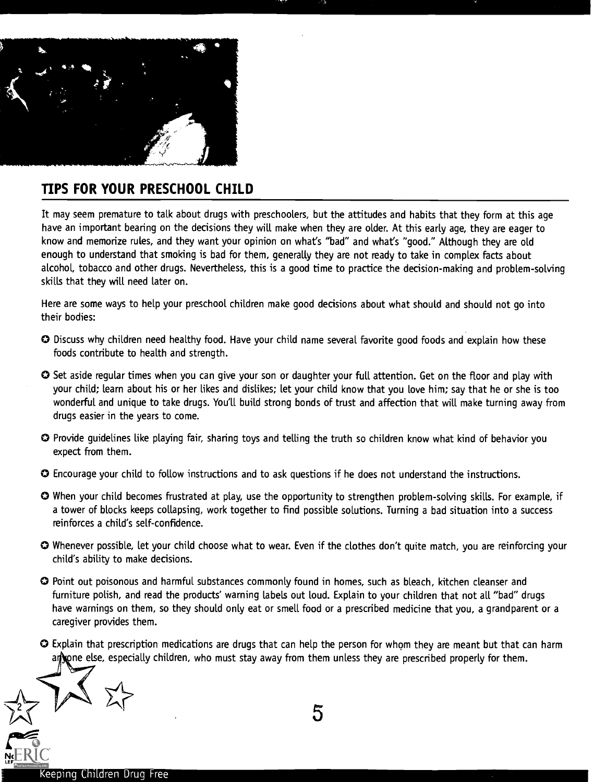

## TIPS FOR YOUR PRESCHOOL CHILD

It may seem premature to talk about drugs with preschoolers, but the attitudes and habits that they form at this age have an important bearing on the decisions they will make when they are older. At this early age, they are eager to know and memorize rules, and they want your opinion on what's "bad" and what's "good." Although they are old enough to understand that smoking is bad for them, generally they are not ready to take in complex facts about alcohol, tobacco and other drugs. Nevertheless, this is a good time to practice the decision-making and problem-solving skills that they will need later on.

Here are some ways to help your preschool children make good decisions about what should and should not go into their bodies:

- O Discuss why children need healthy food. Have your child name several favorite good foods and explain how these foods contribute to health and strength.
- O Set aside regular times when you can give your son or daughter your full attention. Get on the floor and play with your child; learn about his or her likes and dislikes; let your child know that you love him; say that he or she is too wonderful and unique to take drugs. You'll build strong bonds of trust and affection that will make turning away from drugs easier in the years to come.
- O Provide guidelines like playing fair, sharing toys and telling the truth so children know what kind of behavior you expect from them.
- O Encourage your child to follow instructions and to ask questions if he does not understand the instructions.
- O When your child becomes frustrated at play, use the opportunity to strengthen problem-solving skills. For example, if a tower of blocks keeps collapsing, work together to find possible solutions. Turning a bad situation into a success reinforces a child's self-confidence.
- O Whenever possible, let your child choose what to wear. Even if the clothes don't quite match, you are reinforcing your child's ability to make decisions.
- O Point out poisonous and harmful substances commonly found in homes, such as bleach, kitchen cleanser and furniture polish, and read the products' warning labels out loud. Explain to your children that not all "bad" drugs have warnings on them, so they should only eat or smell food or a prescribed medicine that you, a grandparent or a caregiver provides them.
- O Explain that prescription medications are drugs that can help the person for whom they are meant but that can harm an one else, especially children, who must stay away from them unless they are prescribed properly for them.

Ng EKTC  $\sum_{n=0}^{n}$  5 Keeping Children Drug Free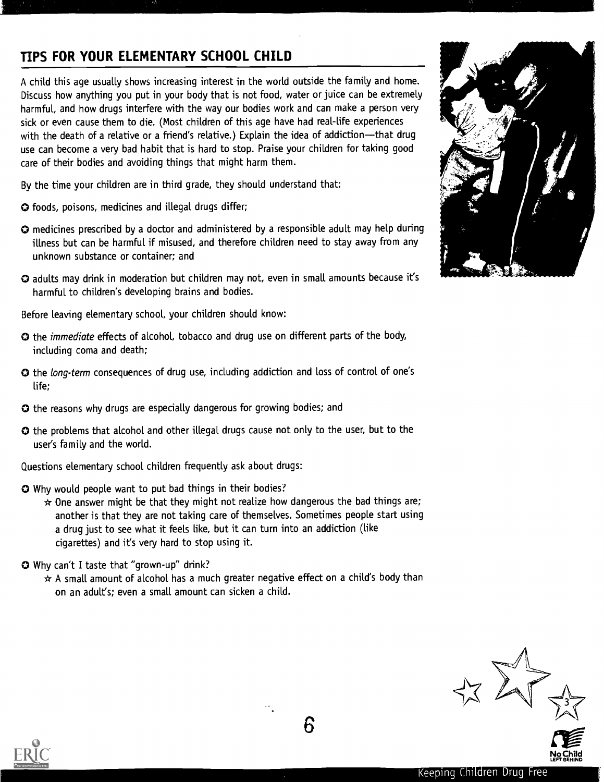## TIPS FOR YOUR ELEMENTARY SCHOOL CHILD

A child this age usually shows increasing interest in the world outside the family and home. Discuss how anything you put in your body that is not food, water or juice can be extremely harmful, and how drugs interfere with the way our bodies work and can make a person very sick or even cause them to die. (Most children of this age have had real-life experiences with the death of a relative or a friend's relative.) Explain the idea of addiction-that drug use can become a very bad habit that is hard to stop. Praise your children for taking good care of their bodies and avoiding things that might harm them.

By the time your children are in third grade, they should understand that:

- 0 foods, poisons, medicines and illegal drugs differ;
- O medicines prescribed by a doctor and administered by a responsible adult may help during illness but can be harmful if misused, and therefore children need to stay away from any unknown substance or container; and
- O adults may drink in moderation but children may not, even in small amounts because it's harmful to children's developing brains and bodies.

Before leaving elementary school, your children should know:

- O the immediate effects of alcohol, tobacco and drug use on different parts of the body, including coma and death;
- O the long-term consequences of drug use, including addiction and loss of control of one's life;
- O the reasons why drugs are especially dangerous for growing bodies; and
- O the problems that alcohol and other illegal drugs cause not only to the user, but to the user's family and the world.
- Questions elementary school children frequently ask about drugs:
- O Why would people want to put bad things in their bodies?
	- $\star$  One answer might be that they might not realize how dangerous the bad things are; another is that they are not taking care of themselves. Sometimes people start using a drug just to see what it feels like, but it can turn into an addiction (like cigarettes) and it's very hard to stop using it.
- O Why can't I taste that "grown-up" drink?
	- $\star$  A small amount of alcohol has a much greater negative effect on a child's body than on an adult's; even a small amount can sicken a child.





No Child LEFT BEHIND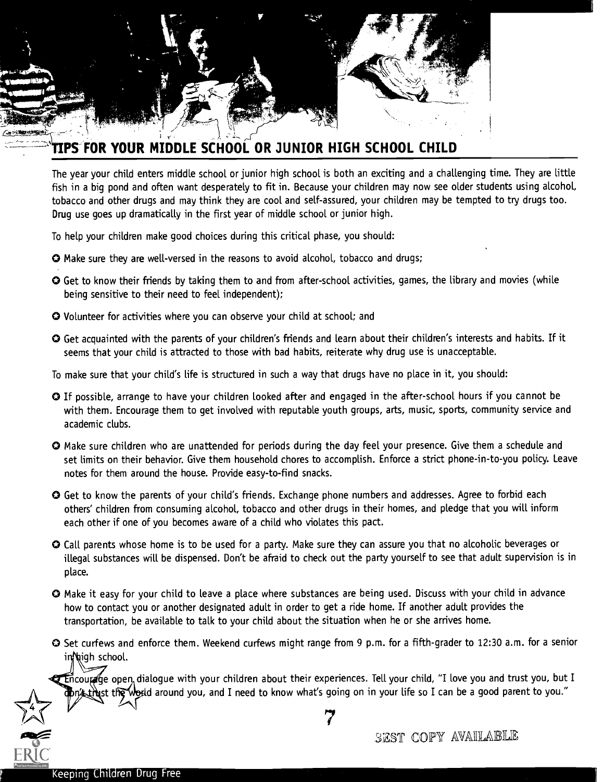

## PS" FOR YOUR MIDDLE SCHOOL OR JUNIOR HIGH SCHOOL CHILD

The year your child enters middle school or junior high school is both an exciting and a challenging time. They are little fish in a big pond and often want desperately to fit in. Because your children may now see older students using alcohol, tobacco and other drugs and may think they are cool and self-assured, your children may be tempted to try drugs too. Drug use goes up dramatically in the first year of middle school or junior high.

To help your children make good choices during this critical phase, you should:

- O Make sure they are well-versed in the reasons to avoid alcohol, tobacco and drugs;
- O Get to know their friends by taking them to and from after-school activities, games, the library and movies (while being sensitive to their need to feel independent);
- O Volunteer for activities where you can observe your child at school; and
- O Get acquainted with the parents of your children's friends and learn about their children's interests and habits. If it seems that your child is attracted to those with bad habits, reiterate why drug use is unacceptable.
- To make sure that your child's life is structured in such a way that drugs have no place in it, you should:
- O If possible, arrange to have your children looked after and engaged in the after-school hours if you cannot be with them. Encourage them to get involved with reputable youth groups, arts, music, sports, community service and academic clubs.
- O Make sure children who are unattended for periods during the day feel your presence. Give them a schedule and set limits on their behavior. Give them household chores to accomplish. Enforce a strict phone-in-to-you policy. Leave notes for them around the house. Provide easy-to-find snacks.
- O Get to know the parents of your child's friends. Exchange phone numbers and addresses. Agree to forbid each others' children from consuming alcohol, tobacco and other drugs in their homes, and pledge that you will inform each other if one of you becomes aware of a child who violates this pact.
- O Call parents whose home is to be used for a party. Make sure they can assure you that no alcoholic beverages or illegal substances will be dispensed. Don't be afraid to check out the party yourself to see that adult supervision is in place.
- O Make it easy for your child to leave a place where substances are being used. Discuss with your child in advance how to contact you or another designated adult in order to get a ride home. If another adult provides the transportation, be available to talk to your child about the situation when he or she arrives home.
- O Set curfews and enforce them. Weekend curfews might range from 9 p.m. for a fifth-grader to 12:30 a.m. for a senior inNigh school.

Encourage open, dialogue with your children about their experiences. Tell your child, "I love you and trust you, but I  $n$  that the world around you, and I need to know what's going on in your life so I can be a good parent to you."

EKIU C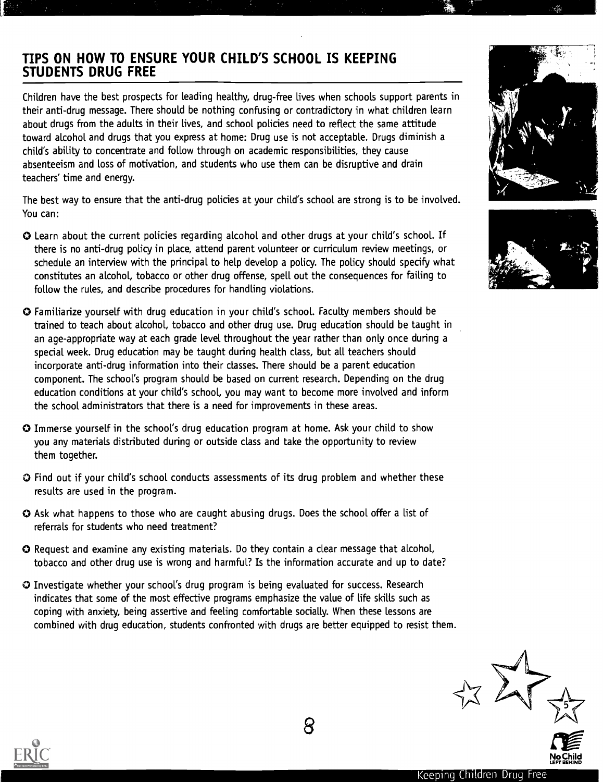## TIPS ON HOW TO ENSURE YOUR CHILD'S SCHOOL IS KEEPING STUDENTS DRUG FREE

Children have the best prospects for leading healthy, drug-free lives when schools support parents in their anti-drug message. There should be nothing confusing or contradictory in what children learn about drugs from the adults in their lives, and school policies need to reflect the same attitude toward alcohol and drugs that you express at home: Drug use is not acceptable. Drugs diminish a child's ability to concentrate and follow through on academic responsibilities, they cause absenteeism and loss of motivation, and students who use them can be disruptive and drain teachers' time and energy.

The best way to ensure that the anti-drug policies at your child's school are strong is to be involved. You can:

- O Learn about the current policies regarding alcohol and other drugs at your child's school. If there is no anti-drug policy in place, attend parent volunteer or curriculum review meetings, or schedule an interview with the principal to help develop a policy. The policy should specify what constitutes an alcohol, tobacco or other drug offense, spell out the consequences for failing to follow the rules, and describe procedures for handling violations.
- O Familiarize yourself with drug education in your child's school. Faculty members should be trained to teach about alcohol, tobacco and other drug use. Drug education should be taught in an age-appropriate way at each grade level throughout the year rather than only once during a special week. Drug education may be taught during health class, but all teachers should incorporate anti-drug information into their classes. There should be a parent education component. The school's program should be based on current research. Depending on the drug education conditions at your child's school, you may want to become more involved and inform the school administrators that there is a need for improvements in these areas.
- O Immerse yourself in the school's drug education program at home. Ask your child to show you any materials distributed during or outside class and take the opportunity to review them together.
- O Find out if your child's school conducts assessments of its drug problem and whether these results are used in the program.
- O Ask what happens to those who are caught abusing drugs. Does the school offer a list of referrals for students who need treatment?
- O Request and examine any existing materials. Do they contain a clear message that alcohol, tobacco and other drug use is wrong and harmful? Is the information accurate and up to date?
- O Investigate whether your school's drug program is being evaluated for success. Research indicates that some of the most effective programs emphasize the value of life skills such as coping with anxiety, being assertive and feeling comfortable socially. When these lessons are combined with drug education, students confronted with drugs are better equipped to resist them.









O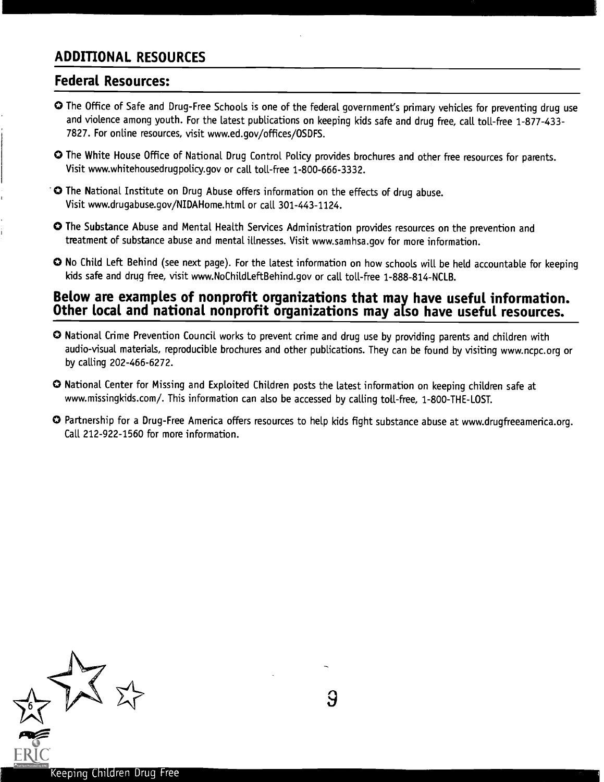## ADDITIONAL RESOURCES

### Federal Resources:

- 0 The Office of Safe and Drug-Free Schools is one of the federal government's primary vehicles for preventing drug use and violence among youth. For the latest publications on keeping kids safe and drug free, call toll-free 1-877-433-7827. For online resources, visit www.ed.gov/offices/OSDFS.
- 0 The White House Office of National Drug Control Policy provides brochures and other free resources for parents. Visit www.whitehousedrugpolicy.gov or call toll-free 1-800-666-3332.
- "0 The National Institute on Drug Abuse offers information on the effects of drug abuse. Visit www.drugabuse.gov/NIDAHome.html or call 301-443-1124.
- 0 The Substance Abuse and Mental Health Services Administration provides resources on the prevention and treatment of substance abuse and mental illnesses. Visit www.samhsa.gov for more information.
- O No Child Left Behind (see next page). For the latest information on how schools will be held accountable for keeping kids safe and drug free, visit www.NoChildleftBehind.gov or call toll-free 1-888-814-NCLB.

# Below are examples of nonprofit organizations that may have useful information. Other local and national nonprofit organizations may also have useful resources.

- O National Crime Prevention Council works to prevent crime and drug use by providing parents and children with audio-visual materials, reproducible brochures and other publications. They can be found by visiting www.ncpc.org or by calling 202-466-6272.
- O National Center for Missing and Exploited Children posts the latest information on keeping children safe at www.missingkids.com/. This information can also be accessed by calling toll-free, 1-800-THE-LOST.
- O Partnership for a Drug-Free America offers resources to help kids fight substance abuse at www.drugfreeamerica.org. Call 212-922-1560 for more information.



9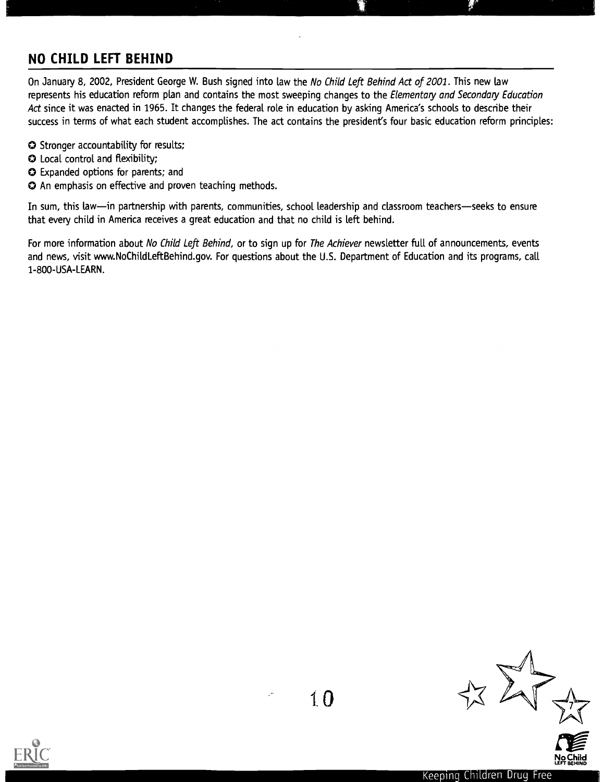## NO CHILD LEFT BEHIND

On January 8, 2002, President George W. Bush signed into law the No Child Left Behind Act of 2001. This new law represents his education reform plan and contains the most sweeping changes to the Elementary and Secondary Education Act since it was enacted in 1965. It changes the federal role in education by asking America's schools to describe their success in terms of what each student accomplishes. The act contains the president's four basic education reform principles:

- O Stronger accountability for results;
- O Local control and flexibility;
- O Expanded options for parents; and
- O An emphasis on effective and proven teaching methods.

In sum, this law-in partnership with parents, communities, school leadership and classroom teachers-seeks to ensure that every child in America receives a great education and that no child is left behind.

For more information about No Child Left Behind, or to sign up for The Achiever newsletter full of announcements, events and news, visit www.NoChildLeftBehind.gov. For questions about the U.S. Department of Education and its programs, call 1-800-USA-LEARN.





No Child<br>No Child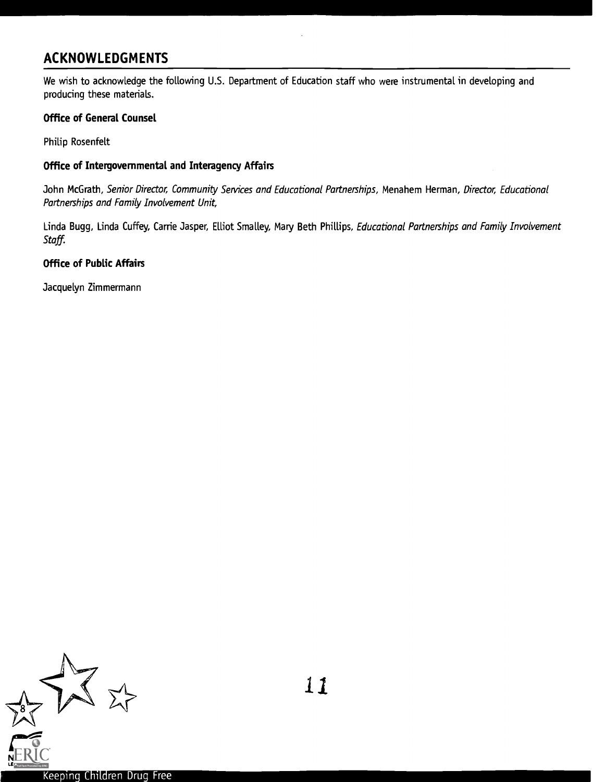## ACKNOWLEDGMENTS

We wish to acknowledge the following U.S. Department of Education staff who were instrumental in developing and producing these materials.

#### Office of General Counsel

Philip Rosenfelt

#### Office of Intergovernmental and Interagency Affairs

John McGrath, Senior Director, Community Services and Educational Partnerships, Menahem Herman, Director, Educational Partnerships and Family Involvement Unit,

Linda Bugg, Linda Cuffey, Carrie Jasper, Elliot Smalley, Mary Beth Phillips, Educational Partnerships and Family Involvement Staff.

#### Office of Public Affairs

Jacquelyn Zimmermann

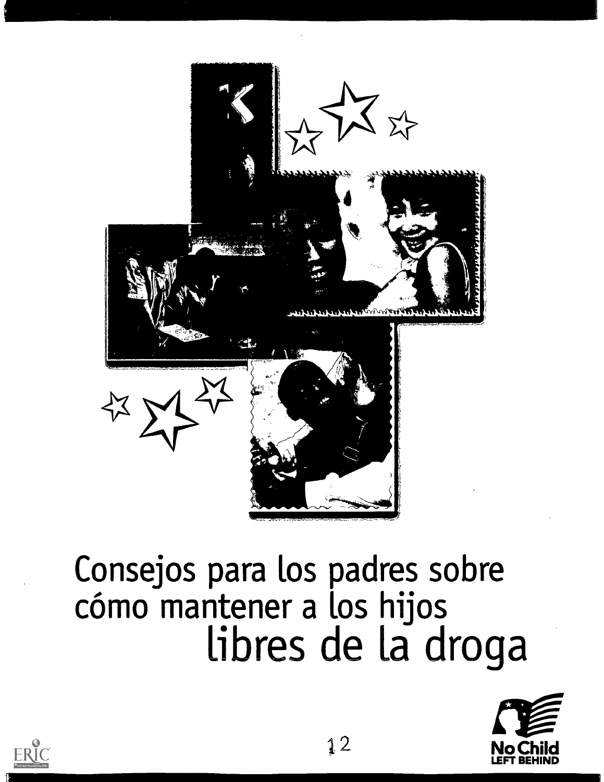

# Consejos para los padres sobre cómo mantener a los hijos libres de la droga



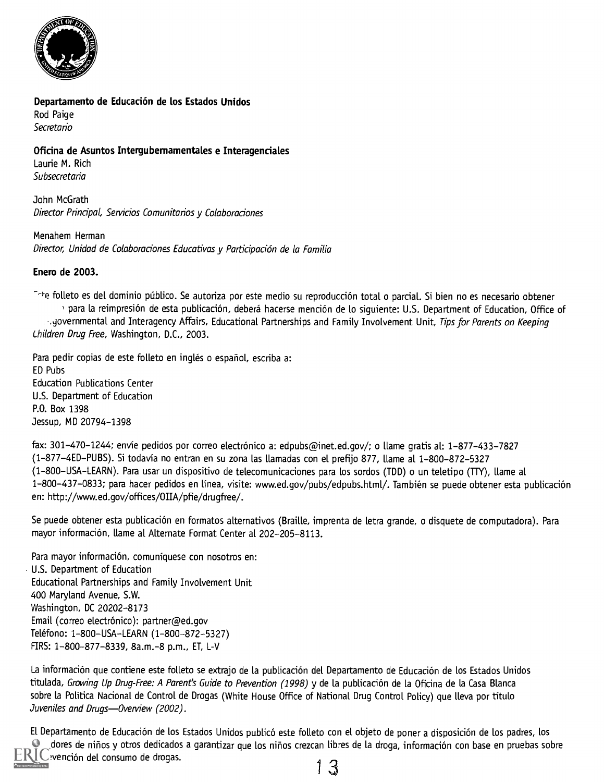

#### Departamento de Educación de los Estados Unidos

Rod Paige Secretario

#### Oficina de Asuntos Intergubernamentales e Interagenciales

Laurie M. Rich Subsecretaria

John McGrath Director Principal, Servicios Comunitarios y Colaboraciones

Menahem Herman Director, Unidad de Colaboraciones Educativas y Participación de la Familia

#### Enero de 2003.

<sup>-+</sup>te folleto es del dominio público. Se autoriza por este medio su reproducción total o parcial. Si bien no es necesario obtener para la reimpresión de esta publicación, deberá hacerse mención de lo siguiente: U.S. Department of Education, Office of syovernmental and Interagency Affairs, Educational Partnerships and Family Involvement Unit, Tips for Parents on Keeping Children Drug Free, Washington, D.C., 2003.

Para pedir copias de este folleto en inglés o español, escriba a: ED Pubs Education Publications Center U.S. Department of Education P.O. Box 1398 Jessup, MD 20794-1398

fax: 301-470-1244; envíe pedidos por correo electrónico a: edpubs@inet.ed.gov/; o llame gratis al: 1-877-433-7827 (1-877-4ED-PUBS). Si todavia no entran en su zona las llamadas con el prefijo 877, flame al 1-800-872-5327 (1-800-USA-LEARN). Para usar un dispositivo de telecomunicaciones para los sordos (TDD) o un teletipo (TTY), flame al 1-800-437-0833; para hacer pedidos en línea, visite: www.ed.gov/pubs/edpubs.html/. También se puede obtener esta publicación en: http://www.ed.gov/offices/OIIA/pfie/drugfree/.

Se puede obtener esta publicación en formatos alternativos (Braille, imprenta de letra grande, o disquete de computadora). Para mayor información, llame al Alternate Format Center al 202-205-8113.

Para mayor información, comuníquese con nosotros en: U.S. Department of Education Educational Partnerships and Family Involvement Unit 400 Maryland Avenue, S.W. Washington, DC 20202-8173 Email (correo electrónico): partner@ed.gov Teléfono: 1-800-USA-LEARN (1-800-872-5327) FIRS: 1- 800 877 -8339, 8a.m. -8 p.m., ET, L-V

La información que contiene este folleto se extrajo de la publicación del Departamento de Educación de los Estados Unidos titulada, Growing Up Drug-Free: A Parent's Guide to Prevention (1998) y de la publicación de la Oficina de la Casa Blanca sobre la Politica Nacional de Control de Drogas (White House Office of National Drug Control Policy) que lleva por titulo Juveniles and Drugs-Overview (2002).

El Departamento de Educación de los Estados Unidos publicó este folleto con el objeto de poner a disposición de los padres, los dores de niños y otros dedicados a garantizar que los niños crezcan libres de la droga, información con base en pruebas sobre  $\mathsf{L}\mathsf{C}$  vención del consumo de drogas.  $1 \, 3$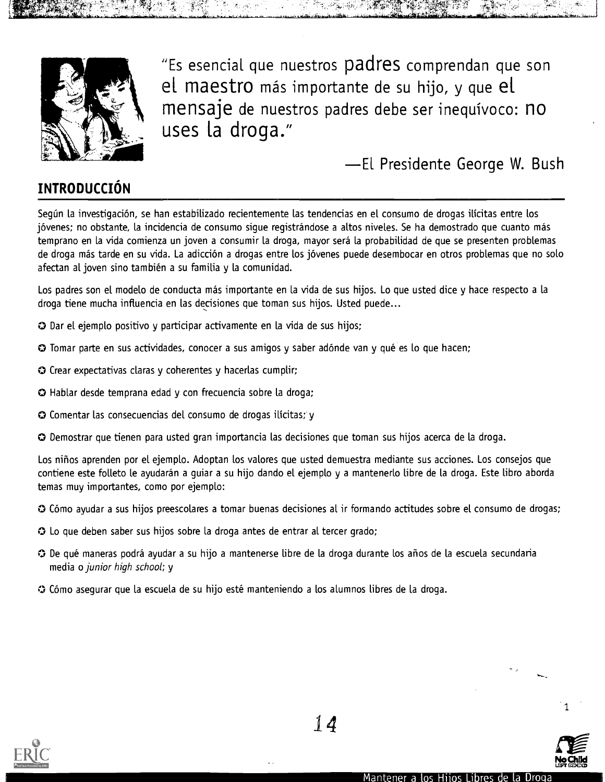

opper per general

"Es esencial que nuestros padres comprendan que son el maestro mas importante de su hijo, y que el mensaje de nuestros padres debe ser inequivoco: no uses la droga."

-El Presidente George W. Bush

## **INTRODUCCIÓN**

Según la investigación, se han estabilizado recientemente las tendencias en el consumo de drogas ilícitas entre los jovenes; no obstante, la incidencia de consumo sigue registrandose a altos niveles. Se ha demostrado que cuanto mas temprano en la vida comienza un joven a consumir la droga, mayor sera la probabilidad de que se presenten problemas de droga más tarde en su vida. La adicción a drogas entre los jóvenes puede desembocar en otros problemas que no solo afectan al joven sino tambien a su familia y la comunidad.

Los padres son el modelo de conducta más importante en la vida de sus hijos. Lo que usted dice y hace respecto a la droga tiene mucha influencia en las decisiones que toman sus hijos. Usted puede...

- O Dar el ejemplo positivo y participar activamente en la vida de sus hijos;
- **O** Tomar parte en sus actividades, conocer a sus amigos y saber adónde van y qué es lo que hacen;
- O Crear expectativas claras y coherentes y hacerlas cumplir;
- Hablar desde temprana edad y con frecuencia sobre la droga;
- O Comentar las consecuencias del consumo de drogas ilicitas; y
- O Demostrar que tienen para usted gran importancia las decisiones que toman sus hijos acerca de la droga.

Los nifios aprenden por el ejemplo. Adoptan los valores que usted demuestra mediante sus acciones. Los consejos que contiene este folleto le ayudarán a guiar a su hijo dando el ejemplo y a mantenerlo libre de la droga. Este libro aborda temas muy importantes, como por ejemplo:

- O Como ayudar a sus hijos preescolares a tomar buenas decisiones al it formando actitudes sobre el consumo de drogas;
- O Lo que deben saber sus hijos sobre la droga antes de entrar al tercer grado;
- O De que maneras podra ayudar a su hijo a mantenerse Libre de la droga durante los anos de la escuela secundaria media o junior high school; y
- O Como asegurar que la escuela de su hijo este manteniendo a los alumnos fibres de la droga.



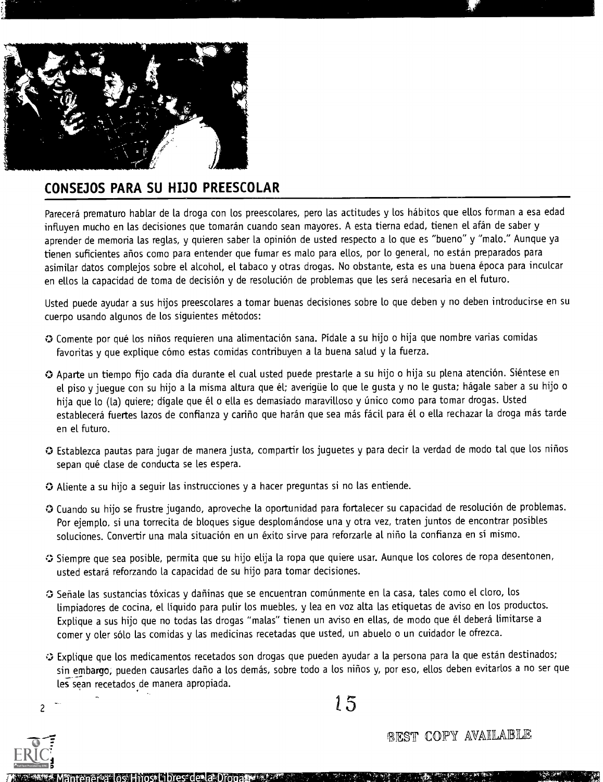

## CONSEJOS PARA SU HIJO PREESCOLAR

Parecerá prematuro hablar de la droga con los preescolares, pero las actitudes y los hábitos que ellos forman a esa edad influyen mucho en las decisiones que tomarán cuando sean mayores. A esta tierna edad, tienen el afán de saber y aprender de memoria las reglas, y quieren saber la opinión de usted respecto a lo que es "bueno" y "malo." Aunque ya tienen suficientes años como para entender que fumar es malo para ellos, por lo general, no están preparados para asimilar datos complejos sobre el alcohol, el tabaco y otras drogas. No obstante, esta es una buena epoca para inculcar en ellos la capacidad de toma de decisión y de resolución de problemas que les será necesaria en el futuro.

Usted puede ayudar a sus hijos preescolares a tomar buenas decisiones sobre lo que deben y no deben introducirse en su cuerpo usando algunos de los siguientes metodos:

- O Comente por que los nitios requieren una alimentaciOn sana. Pidale a su hijo o hija que nombre varias comidas favoritas y que explique cómo estas comidas contribuyen a la buena salud y la fuerza.
- O Aparte un tiempo fijo cada dia durante el cual usted puede prestarle a su hijo o hija su plena atenciOn. Sientese en el piso y juegue con su hijo a la misma altura que él; averigüe lo que le gusta y no le gusta; hágale saber a su hijo o hija que lo (la) quiere; dígale que él o ella es demasiado maravilloso y único como para tomar drogas. Usted establecerá fuertes lazos de confianza y cariño que harán que sea más fácil para él o ella rechazar la droga más tarde en el futuro.
- O Establezca pautas para jugar de manera justa, compartir Los juguetes y para decir la verdad de modo tal que Los nifios sepan qué clase de conducta se les espera.
- $\Omega$  Aliente a su hijo a sequir las instrucciones y a hacer preguntas si no las entiende.
- O Cuando su hijo se frustre jugando, aproveche la oportunidad para fortalecer su capacidad de resolución de problemas. Por ejemplo, si una torrecita de bloques sigue desplomándose una y otra vez, traten juntos de encontrar posibles soluciones. Convertir una mala situación en un éxito sirve para reforzarle al niño la confianza en sí mismo.
- Siempre que sea posible, permita que su hijo elija la ropa que quiere usar. Aunque Los colores de ropa desentonen, usted estara reforzando la capacidad de su hijo para tomar decisiones.
- ⊙ Señale las sustancias tóxicas y dañinas que se encuentran comúnmente en la casa, tales como el cloro, los limpiadores de cocina, el líquido para pulir los muebles, y lea en voz alta las etiquetas de aviso en los productos. Explique a sus hijo que no todas las drogas "malas" tienen un aviso en ellas, de modo que él deberá limitarse a comer y oler sólo las comidas y las medicinas recetadas que usted, un abuelo o un cuidador le ofrezca.
- Explique que los medicamentos recetados son drogas que pueden ayudar a la persona para la que estan destinados; sin embargo; pueden causarles daño a los demás, sobre todo a los niños y, por eso, ellos deben evitarlos a no ser que les sean recetados de manera apropiada.  $15$

 $\overline{c}$ 

ntener a los Hijos. Libres de la Drog

best copy available<br>releases corr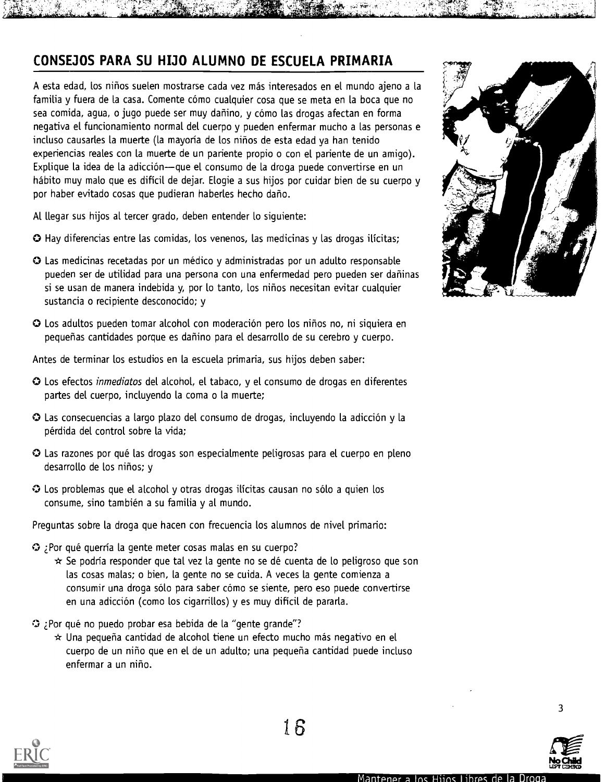## CONSEJOS PARA SU HIJO ALUMNO DE ESCUELA PRIMARIA

A esta edad, los niños suelen mostrarse cada vez más interesados en el mundo ajeno a la familia y fuera de la casa. Comente cómo cualquier cosa que se meta en la boca que no sea comida, agua, o jugo puede ser muy dañino, y cómo las drogas afectan en forma negativa el funcionamiento normal del cuerpo y pueden enfermar mucho a las personas e incluso causarles la muerte (la mayoría de los niños de esta edad ya han tenido experiencias reales con la muerte de un pariente propio o con el pariente de un amigo). Explique la idea de la adicción--que el consumo de la droga puede convertirse en un hábito muy malo que es difícil de dejar. Elogie a sus hijos por cuidar bien de su cuerpo y por haber evitado cosas que pudieran haberles hecho daño.

Al llegar sus hijos at tercer grado, deben entender lo siguiente:

- O Hay diferencias entre las comidas, los venenos, las medicinas y las drogas ilicitas;
- O Las medicinas recetadas por un medico y administradas por un adulto responsable pueden ser de utilidad para una persona con una enfermedad pero pueden ser daninas si se usan de manera indebida y, por lo tanto, los nifios necesitan evitar cualquier sustancia o recipiente desconocido; y
- O Los adultos pueden tomar alcohol con moderacion pero los nifios no, ni siquiera en pequeñas cantidades porque es dañino para el desarrollo de su cerebro y cuerpo.

Antes de terminar los estudios en la escuela primaria, sus hijos deben saber:

- O Los efectos inmediatos del alcohol, el tabaco, y el consumo de drogas en diferentes partes del cuerpo, incluyendo la coma o la muerte;
- O Las consecuencias a largo plazo del consumo de drogas, incluyendo la adiccion y la perdida del control sobre la vida;
- O Las razones por que las drogas son especialmente peligrosas para el cuerpo en pleno desarrollo de los niños; y
- O Los problemas que el alcohol y otras drogas ilicitas causan no solo a quien los consume, sino tambien a su familia y al mundo.

Preguntas sobre la droga que hacen con frecuencia los alumnos de nivel primario:

- elPor que querria la gente meter cosas malas en su cuerpo?
	- $\star$  Se podría responder que tal vez la gente no se dé cuenta de lo peligroso que son las cosas malas; o bien, la gente no se cuida. A veces la gente comienza a consumir una droga sólo para saber cómo se siente, pero eso puede convertirse en una adicción (como los cigarrillos) y es muy difícil de pararla.
- Por qué no puedo probar esa bebida de la "gente grande"?
	- $\star$  Una pequeña cantidad de alcohol tiene un efecto mucho más negativo en el cuerpo de un nino que en el de un adulto; una pequefia cantidad puede incluso enfermar a un nino.





3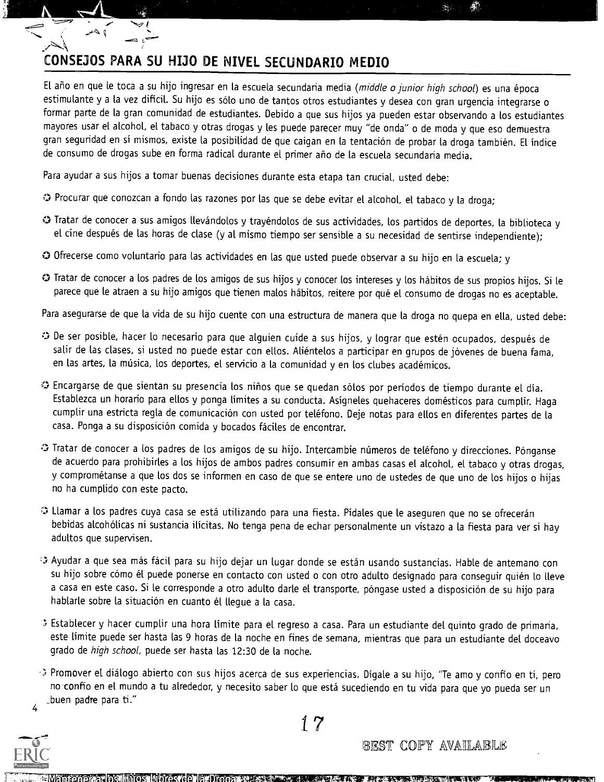## CONSEJOS PARA SU HIJO DE NIVEL SECUNDARIO MEDIO

4

 $\overline{a}$ 

El año en que le toca a su hijo ingresar en la escuela secundaria media (middle o junior high school) es una época estimulante y a la vez difícil. Su hijo es sólo uno de tantos otros estudiantes y desea con gran urgencia integrarse o formar parte de la gran comunidad de estudiantes. Debido a que sus hijos ya pueden estar observando a los estudiantes mayores usar el alcohol, et tabaco y otras drogas y les puede parecer muy "de onda" o de moda y que eso demuestra gran seguridad en sí mismos, existe la posibilidad de que caigan en la tentación de probar la droga también. El índice de consumo de drogas sube en forma radical durante el primer ano de la escuela secundaria media.

Para ayudar a sus hijos a tomar buenas decisiones durante esta etapa tan crucial, usted debe:

- Procurar que conozcan a fondo las razones por las que se debe evitar el alcohol, el tabaco y la droga;
- Tratar de conocer a sus amigos llevandolos y trayendolos de sus actividades, los partidos de deportes, la biblioteca y el cine después de las horas de clase (y al mismo tiempo ser sensible a su necesidad de sentirse independiente);
- O Ofrecerse como voluntario para las actividades en las que usted puede observar a su hijo en la escuela; y
- O Tratar de conocer a los padres de los amigos de sus hijos y conocer los intereses y los habitos de sus propios hijos. Si le parece que le atraen a su hijo amigos que tienen malos hábitos, reitere por qué el consumo de drogas no es aceptable.

Para asegurarse de que la vida de su hijo cuente con una estructura de manera que la droga no quepa en ella, usted debe:

- 0 De ser posible, hacer lo necesario para que alguien cuide a sus hijos, y lograr que esten ocupados, despues de salir de las clases, si usted no puede estar con ellos. Aliéntelos a participar en grupos de jóvenes de buena fama, en las artes, la música, los deportes, el servicio a la comunidad y en los clubes académicos.
- Encargarse de que sientan su presencia los ninos que se quedan solos por periodos de tiempo durante el dia. Establezca un horario para ellos y ponga limites a su conducta. Asigneles quehaceres domesticos para cumplir. Haga cumplir una estricta regla de comunicación con usted por teléfono. Deje notas para ellos en diferentes partes de la casa. Ponga a su disposición comida y bocados fáciles de encontrar.
- O Tratar de conocer a los padres de los amigos de su hijo. Intercambie números de teléfono y direcciones. Pónganse de acuerdo para prohibirles a los hijos de ambos padres consumir en ambas casas el alcohol, el tabaco y otras drogas, y comprometanse a que los dos se informen en caso de que se entere uno de ustedes de que uno de los hijos o hijas no ha cumplido con este pacto.
- Llamar a los padres cuya casa se esta utilizando para una fiesta. Pidales que le aseguren que no se ofreceran bebidas alcohólicas ni sustancia ilícitas. No tenga pena de echar personalmente un vistazo a la fiesta para ver si hay adultos que supervisen.
- Ayudar a que sea mas facil para su hijo dejar un Lugar donde se estan usando sustancias. Hable de antemano con su hijo sobre cómo él puede ponerse en contacto con usted o con otro adulto designado para conseguir quién lo lleve a casa en este caso. Si le corresponde a otro adulto darle el transporte, póngase usted a disposición de su hijo para hablarle sobre la situación en cuanto él llegue a la casa.
- Establecer y hacer cumplir una Nora limite para el regreso a casa. Para un estudiante del quinto grado de primaria, este limite puede ser hasta las 9 horas de la noche en fines de semana, mientras que para un estudiante del doceavo grado de high school, puede ser hasta las 12:30 de la noche.
- 4 √> Promover el diálogo abierto con sus hijos acerca de sus experiencias. Dígale a su hijo, "Te amo y confío en ti, pero no confío en el mundo a tu alrededor, y necesito saber lo que está sucediendo en tu vida para que yo pueda ser un \_buen padre para ti."



17

BEST COPY AVAILABLE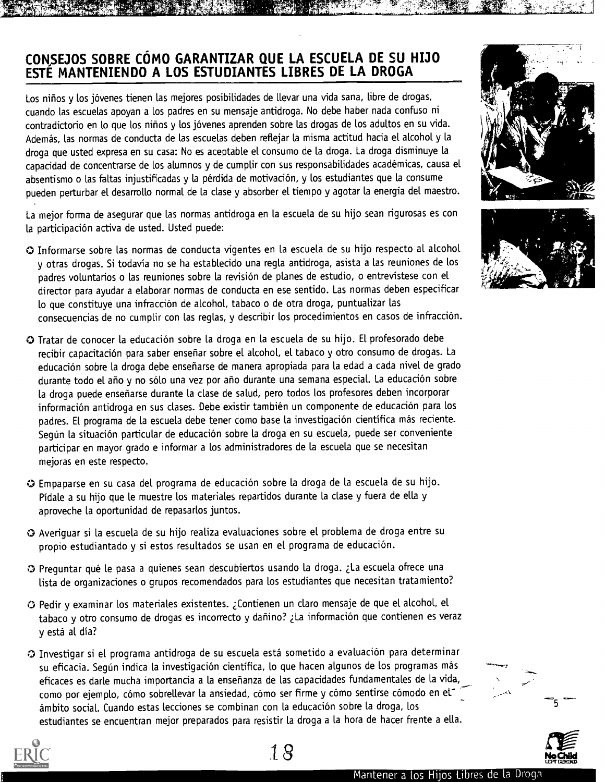## CONSEJOS SOBRE CÓMO GARANTIZAR QUE LA ESCUELA DE SU HIJO ESTE MANTENIENDO A LOS ESTUDIANTES LIBRES DE LA DROGA

Los niños y los jóvenes tienen las mejores posibilidades de llevar una vida sana, libre de drogas, cuando las escuelas apoyan a los padres en su mensaje antidroga. No debe haber nada confuso ni contradictorio en lo que los niños y los jóvenes aprenden sobre las drogas de los adultos en su vida. Ademas, las normas de conducta de las escuelas deben reflejar la misma actitud hacia el alcohol y la droga que usted expresa en su casa: No es aceptable el consumo de la droga. La droga disminuye la capacidad de concentrarse de los alumnos y de cumplir con sus responsabilidades académicas, causa el absentismo o las faltas injustificadas y la pérdida de motivación, y los estudiantes que la consume pueden perturbar el desarrollo normal de la clase y absorber el. tiempo y agotar la energia del maestro.

La mejor forma de asegurar que las normas antidroga en la escuela de su hijo sean rigurosas es con la participación activa de usted. Usted puede:

- O Informarse sobre las normas de conducta vigentes en la escuela de su hijo respecto at alcohol y otras drogas. Si todavia no se ha establecido una regla antidroga, asista a las reuniones de los padres voluntarios o las reuniones sobre la revision de planes de estudio, o entrevistese con el director para ayudar a elaborar normas de conducta en ese sentido. Las normas deben especificar to que constituye una infraccion de alcohol, tabaco o de otra droga, puntualizar las consecuencias de no cumplir con las reglas, y describir los procedimientos en casos de infraccion.
- O Tratar de conocer la educaci6n sobre la droga en la escuela de su hijo. El profesorado debe recibir capacitación para saber enseñar sobre el alcohol, el tabaco y otro consumo de drogas. La educacion sobre la droga debe enseriarse de manera apropiada para la edad a cada nivel de grado durante todo el año y no sólo una vez por año durante una semana especial. La educación sobre la droga puede ensenarse durante la clase de salud, pero todos los profesores deben incorporar información antidroga en sus clases. Debe existir también un componente de educación para los padres. El programa de la escuela debe tener como base la investigación científica más reciente. Según la situación particular de educación sobre la droga en su escuela, puede ser conveniente participar en mayor grado e informar a los administradores de la escuela que se necesitan mejoras en este respecto.
- O Empaparse en su casa del programa de educacion sobre la droga de la escuela de su hijo. Pidale a su hijo que le muestre los materiales repartidos durante la clase y fuera de ella y aproveche la oportunidad de repasarlos juntos.
- O Averiguar si la escuela de su hijo realiza evaluaciones sobre el probtema de droga entre su propio estudiantado y si estos resultados se usan en el programa de educación.
- O Preguntar que le pasa a quienes sean descubiertos usando la droga. La escuela ofrece una lista de organizaciones o grupos recomendados para los estudiantes que necesitan tratamiento?
- O Pedir y examinar los materiales existentes. Contienen un claro mensaje de que el alcohol, el tabaco y otro consumo de drogas es incorrecto y dañino? ¿La información que contienen es veraz y esta al dia?
- **Investigar si el programa antidroga de su escuela está sometido a evaluación para determinar** su eficacia. Según indica la investigación científica, lo que hacen algunos de los programas más eficaces es darle mucha importancia a la ensefianza de las capacidades fundamentales de la vida, como por ejemplo, cómo sobrellevar la ansiedad, cómo ser firme y cómo sentirse cómodo en el<sup>-</sup> ambito social. Cuando estas lecciones se combinan con la educacion sobre la droga, los estudiantes se encuentran mejor preparados para resistir la droga a la hora de hacer frente a ella.











Z-4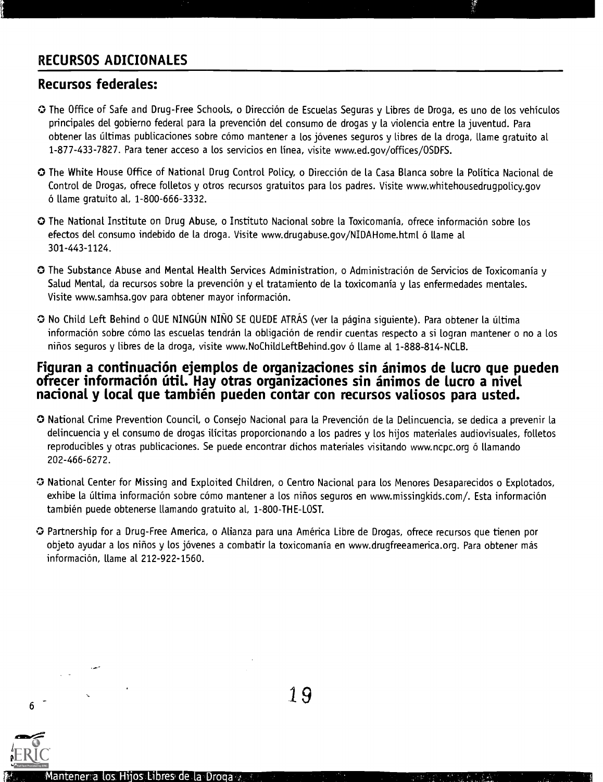## RECURSOS ADICIONALES

## Recursos federates:

- 0 The Office of Safe and Drug-Free Schools, o Direcci6n de Escuelas Seguras y Libres de Droga, es uno de los vehiculos principales del gobierno federal para la prevencion del consumo de drogas y la violencia entre la juventud. Para obtener las últimas publicaciones sobre cómo mantener a los jóvenes seguros y libres de la droga, llame gratuito al 1-877-433-7827. Para tener acceso a los servicios en Linea, visite www.ed.gov/offices/OSDFS.
- 0 The White House Office of National Drug Control Policy, o Direccion de la Casa Blanca sobre la Politica Nacional de Control de Drogas, ofrece folletos y otros recursos gratuitos para los padres. Visite www.whitehousedrugpolicy.gov o llame gratuito al, 1-800-666-3332.
- **O** The National Institute on Drug Abuse, o Instituto Nacional sobre la Toxicomanía, ofrece información sobre los efectos del consumo indebido de la droga. Visite www.drugabuse.gov/NIDAHome.html ó llame al 301-443-1124.
- 0 The Substance Abuse and Mental Health Services Administration, o Administration de Servicios de Toxicomania y Salud Mental, da recursos sobre la prevención y el tratamiento de la toxicomanía y las enfermedades mentales. Visite www.samhsa.gov para obtener mayor informacion.
- O No Child Left Behind o QUE NINGÚN NIÑO SE QUEDE ATRÁS (ver la página siguiente). Para obtener la última información sobre cómo las escuelas tendrán la obligación de rendir cuentas respecto a si logran mantener o no a los ninos seguros y libres de la droga, visite www.NoChildLeftBehind.gov 6 llame al 1-888-814-NCLB.

#### Figuran a continuación ejemplos de organizaciones sin ánimos de lucro que pueden ofrecer información útil. Hay otras organizaciones sin ánimos de lucro a nivel nacional y local que también pueden contar con recursos valiosos para usted.

- O National Crime Prevention Council, o Consejo Nacional para la Prevention de la Delincuencia, se dedica a prevenir la delincuencia y el consumo de drogas ilicitas proporcionando a los padres y los hijos materiales audiovisuales, folletos reproducibles y otras publicaciones. Se puede encontrar dichos materiales visitando www.ncpc.org ó llamando 202-466-6272.
- O National Center for Missing and Exploited Children, o Centro Nacional para los Menores Desaparecidos o Explotados, exhibe la última información sobre cómo mantener a los niños seguros en www.missingkids.com/. Esta información tambien puede obtenerse llamando gratuito al, 1-800-THE-LOST.
- O Partnership for a Drug-Free America, o Alianza para una America Libre de Drogas, ofrece recursos que tienen por objeto ayudar a los niños y los jóvenes a combatir la toxicomanía en www.drugfreeamerica.org. Para obtener más informacion, llame al 212-922-1560.



6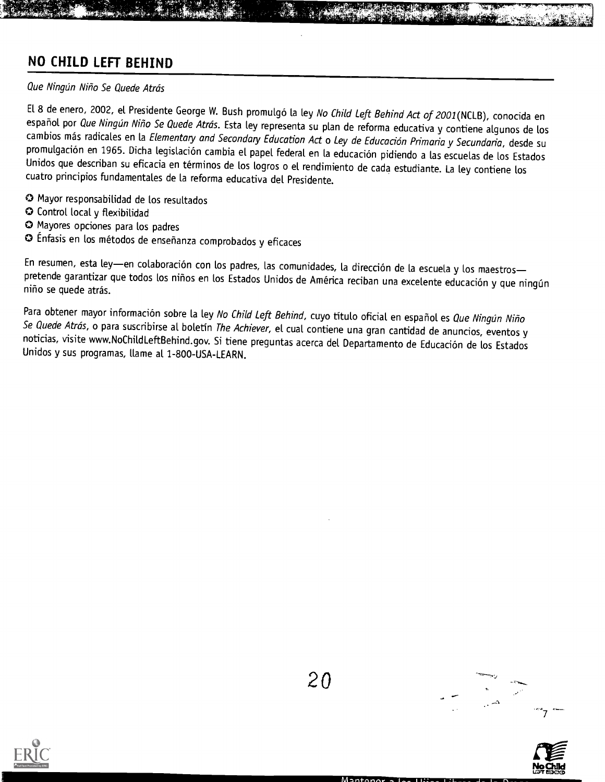## NO CHILD LEFT BEHIND

#### Que Ningún Niño Se Quede Atrás

El 8 de enero, 2002, el Presidente George W. Bush promulgó la ley No Child Left Behind Act of 2001(NCLB), conocida en español por *Que Ningún Niño Se Quede Atrás*. Esta ley representa su plan de reforma educativa y contiene algunos de los<br>cambios más radicales en la *Elementary and Secondary Education Act* o *Ley de Educación Primaria y S* promulgación en 1965. Dicha legislación cambia el papel federal en la educación pidiendo a las escuelas de los Estados Unidos que describan su eficacia en terminos de los logros o el rendimiento de cada estudiante. La ley contiene los cuatro principios fundamentales de la reforma educativa del Presidente.

- O Mayor responsabilidad de los resultados
- O Control local y flexibilidad
- Mayores opciones para los padres
- Enfasis en los metodos de ensenanza comprobados y eficaces

En resumen, esta ley-en colaboración con los padres, las comunidades, la dirección de la escuela y los maestrospretende garantizar que todos los niños en los Estados Unidos de América reciban una excelente educación y que ningún<br>niño se quede atrás.

Para obtener mayor información sobre la ley No Child Left Behind, cuyo título oficial en español es *Que Ningún Niño*<br>Se *Quede Atrás*, o para suscribirse al boletín *The Achiever*, el cual contiene una gran cantidad de an Unidos y sus programas, flame al 1-800-USA-LEARN.





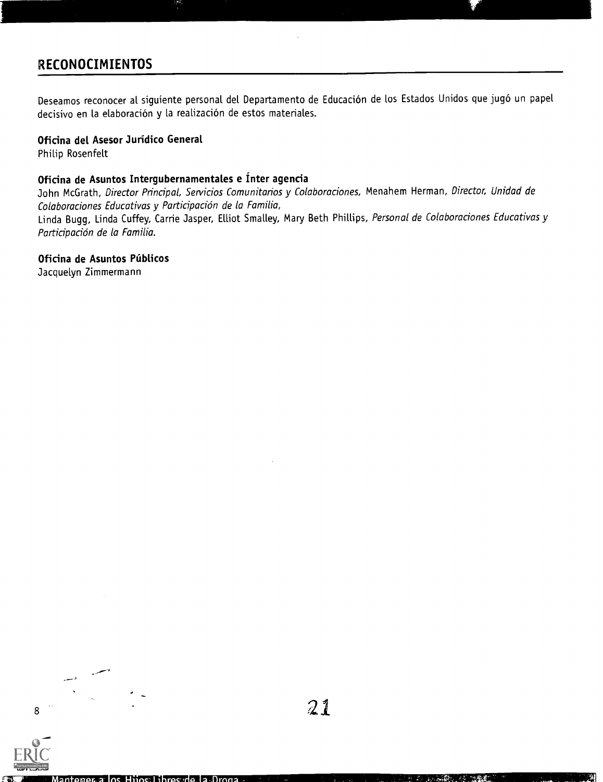## RECONOCIMIENTOS

Deseamos reconocer al siguiente personal del Departamento de Educación de los Estados Unidos que jugó un papel decisivo en la elaboración y la realización de estos materiales.

#### Oficina del Asesor Jurídico General

Philip Rosenfelt

#### Oficina de Asuntos Intergubernamentales e Ínter agencia

John McGrath, Director Principal, Servicios Comunitarios y Colaboraciones, Menahem Herman, Director, Unidad de Colaboraciones Educativas y Participación de la Familia,

Linda Bugg, Linda Cuffey, Carrie Jasper, Elliot Smalley, Mary Beth Phillips, Personal de Colaboraciones Educativas y Participación de la Familia.

#### Oficina de Asuntos Publicos

Jacquelyn Zimmermann

Full Text Provided by ERIC

8

**Z.:.** Mantener a los Hijos Li